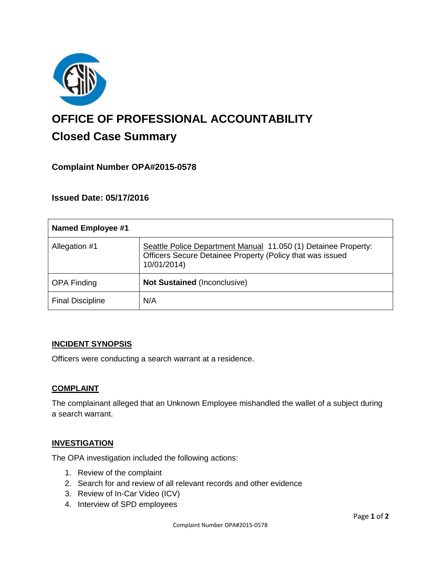

# **OFFICE OF PROFESSIONAL ACCOUNTABILITY Closed Case Summary**

## **Complaint Number OPA#2015-0578**

## **Issued Date: 05/17/2016**

| <b>Named Employee #1</b> |                                                                                                                                            |
|--------------------------|--------------------------------------------------------------------------------------------------------------------------------------------|
| Allegation #1            | Seattle Police Department Manual 11.050 (1) Detainee Property:<br>Officers Secure Detainee Property (Policy that was issued<br>10/01/2014) |
| <b>OPA Finding</b>       | <b>Not Sustained (Inconclusive)</b>                                                                                                        |
| <b>Final Discipline</b>  | N/A                                                                                                                                        |

### **INCIDENT SYNOPSIS**

Officers were conducting a search warrant at a residence.

### **COMPLAINT**

The complainant alleged that an Unknown Employee mishandled the wallet of a subject during a search warrant.

### **INVESTIGATION**

The OPA investigation included the following actions:

- 1. Review of the complaint
- 2. Search for and review of all relevant records and other evidence
- 3. Review of In-Car Video (ICV)
- 4. Interview of SPD employees